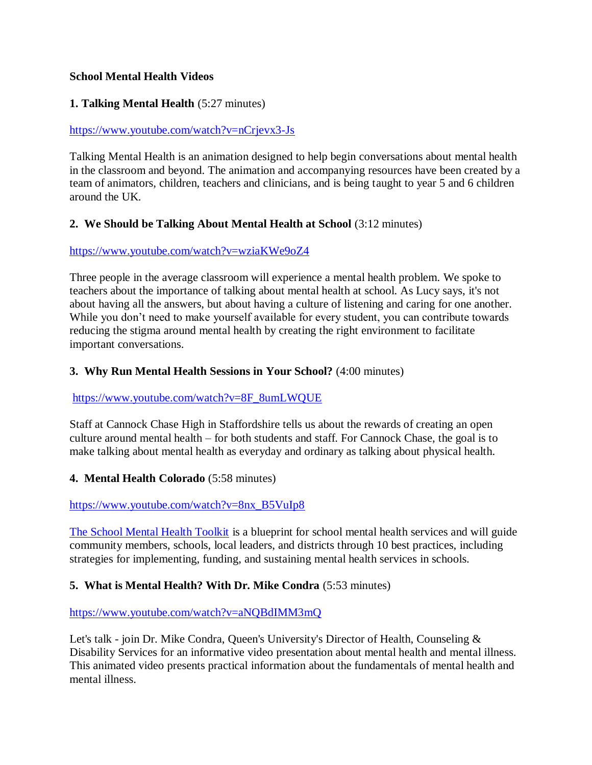## **School Mental Health Videos**

## **1. Talking Mental Health** (5:27 minutes)

#### <https://www.youtube.com/watch?v=nCrjevx3-Js>

Talking Mental Health is an animation designed to help begin conversations about mental health in the classroom and beyond. The animation and accompanying resources have been created by a team of animators, children, teachers and clinicians, and is being taught to year 5 and 6 children around the UK.

### **2. We Should be Talking About Mental Health at School** (3:12 minutes)

#### <https://www.youtube.com/watch?v=wziaKWe9oZ4>

Three people in the average classroom will experience a mental health problem. We spoke to teachers about the importance of talking about mental health at school. As Lucy says, it's not about having all the answers, but about having a culture of listening and caring for one another. While you don't need to make yourself available for every student, you can contribute towards reducing the stigma around mental health by creating the right environment to facilitate important conversations.

#### **3. Why Run Mental Health Sessions in Your School?** (4:00 minutes)

#### [https://www.youtube.com/watch?v=8F\\_8umLWQUE](https://www.youtube.com/watch?v=8F_8umLWQUE)

Staff at Cannock Chase High in Staffordshire tells us about the rewards of creating an open culture around mental health – for both students and staff. For Cannock Chase, the goal is to make talking about mental health as everyday and ordinary as talking about physical health.

#### **4. Mental Health Colorado** (5:58 minutes)

#### [https://www.youtube.com/watch?v=8nx\\_B5VuIp8](https://www.youtube.com/watch?v=8nx_B5VuIp8)

[The School Mental Health Toolkit](https://www.mentalhealthcolorado.org/schooltoolkit/) is a blueprint for school mental health services and will guide community members, schools, local leaders, and districts through 10 best practices, including strategies for implementing, funding, and sustaining mental health services in schools.

#### **5. What is Mental Health? With Dr. Mike Condra** (5:53 minutes)

#### <https://www.youtube.com/watch?v=aNQBdIMM3mQ>

Let's talk - join Dr. Mike Condra, Queen's University's Director of Health, Counseling & Disability Services for an informative video presentation about mental health and mental illness. This animated video presents practical information about the fundamentals of mental health and mental illness.